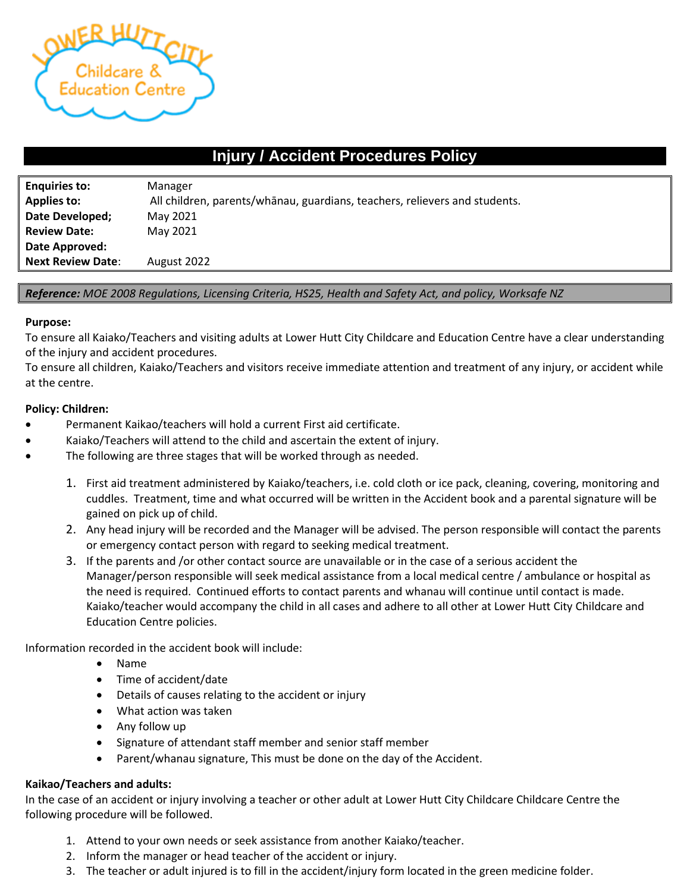

# **Injury / Accident Procedures Policy**

| <b>Enquiries to:</b>     | Manager                                                                    |
|--------------------------|----------------------------------------------------------------------------|
| <b>Applies to:</b>       | All children, parents/whanau, guardians, teachers, relievers and students. |
| Date Developed;          | May 2021                                                                   |
| <b>Review Date:</b>      | May 2021                                                                   |
| Date Approved:           |                                                                            |
| <b>Next Review Date:</b> | August 2022                                                                |

*Reference: MOE 2008 Regulations, Licensing Criteria, HS25, Health and Safety Act, and policy, Worksafe NZ*

#### **Purpose:**

l

To ensure all Kaiako/Teachers and visiting adults at Lower Hutt City Childcare and Education Centre have a clear understanding of the injury and accident procedures.

To ensure all children, Kaiako/Teachers and visitors receive immediate attention and treatment of any injury, or accident while at the centre.

### **Policy: Children:**

- Permanent Kaikao/teachers will hold a current First aid certificate.
- Kaiako/Teachers will attend to the child and ascertain the extent of injury.
- The following are three stages that will be worked through as needed.
	- 1. First aid treatment administered by Kaiako/teachers, i.e. cold cloth or ice pack, cleaning, covering, monitoring and cuddles. Treatment, time and what occurred will be written in the Accident book and a parental signature will be gained on pick up of child.
	- 2. Any head injury will be recorded and the Manager will be advised. The person responsible will contact the parents or emergency contact person with regard to seeking medical treatment.
	- 3. If the parents and /or other contact source are unavailable or in the case of a serious accident the Manager/person responsible will seek medical assistance from a local medical centre / ambulance or hospital as the need is required. Continued efforts to contact parents and whanau will continue until contact is made. Kaiako/teacher would accompany the child in all cases and adhere to all other at Lower Hutt City Childcare and Education Centre policies.

Information recorded in the accident book will include:

- Name
- Time of accident/date
- Details of causes relating to the accident or injury
- What action was taken
- Any follow up
- Signature of attendant staff member and senior staff member
- Parent/whanau signature, This must be done on the day of the Accident.

## **Kaikao/Teachers and adults:**

In the case of an accident or injury involving a teacher or other adult at Lower Hutt City Childcare Childcare Centre the following procedure will be followed.

- 1. Attend to your own needs or seek assistance from another Kaiako/teacher.
- 2. Inform the manager or head teacher of the accident or injury.
- 3. The teacher or adult injured is to fill in the accident/injury form located in the green medicine folder.